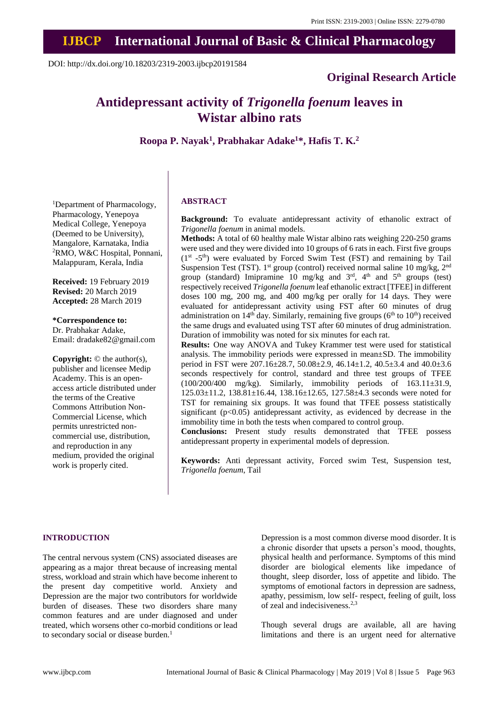## **IJBCP International Journal of Basic & Clinical Pharmacology**

DOI: http://dx.doi.org/10.18203/2319-2003.ijbcp20191584

## **Original Research Article**

# **Antidepressant activity of** *Trigonella foenum* **leaves in Wistar albino rats**

**Roopa P. Nayak<sup>1</sup> , Prabhakar Adake<sup>1</sup>\*, Hafis T. K. 2**

<sup>1</sup>Department of Pharmacology, Pharmacology, Yenepoya Medical College, Yenepoya (Deemed to be University), Mangalore, Karnataka, India <sup>2</sup>RMO, W&C Hospital, Ponnani, Malappuram, Kerala, India

**Received:** 19 February 2019 **Revised:** 20 March 2019 **Accepted:** 28 March 2019

**\*Correspondence to:** Dr. Prabhakar Adake, Email: dradake82@gmail.com

**Copyright:** © the author(s), publisher and licensee Medip Academy. This is an openaccess article distributed under the terms of the Creative Commons Attribution Non-Commercial License, which permits unrestricted noncommercial use, distribution, and reproduction in any medium, provided the original work is properly cited.

### **ABSTRACT**

**Background:** To evaluate antidepressant activity of ethanolic extract of *Trigonella foenum* in animal models.

**Methods:** A total of 60 healthy male Wistar albino rats weighing 220-250 grams were used and they were divided into 10 groups of 6 rats in each. First five groups  $(1<sup>st</sup> -5<sup>th</sup>)$  were evaluated by Forced Swim Test (FST) and remaining by Tail Suspension Test (TST). 1<sup>st</sup> group (control) received normal saline 10 mg/kg, 2<sup>nd</sup> group (standard) Imipramine 10 mg/kg and  $3<sup>rd</sup>$ , 4<sup>th</sup> and  $5<sup>th</sup>$  groups (test) respectively received *Trigonella foenum* leaf ethanolic extract [TFEE] in different doses 100 mg, 200 mg, and 400 mg/kg per orally for 14 days. They were evaluated for antidepressant activity using FST after 60 minutes of drug administration on  $14<sup>th</sup>$  day. Similarly, remaining five groups ( $6<sup>th</sup>$  to  $10<sup>th</sup>$ ) received the same drugs and evaluated using TST after 60 minutes of drug administration. Duration of immobility was noted for six minutes for each rat.

**Results:** One way ANOVA and Tukey Krammer test were used for statistical analysis. The immobility periods were expressed in mean±SD. The immobility period in FST were 207.16±28.7, 50.08±2.9, 46.14±1.2, 40.5±3.4 and 40.0±3.6 seconds respectively for control, standard and three test groups of TFEE  $(100/200/400$  mg/kg). Similarly, immobility periods of  $163.11\pm31.9$ , 125.03±11.2, 138.81±16.44, 138.16±12.65, 127.58±4.3 seconds were noted for TST for remaining six groups. It was found that TFEE possess statistically significant  $(p<0.05)$  antidepressant activity, as evidenced by decrease in the immobility time in both the tests when compared to control group.

**Conclusions:** Present study results demonstrated that TFEE possess antidepressant property in experimental models of depression.

**Keywords:** Anti depressant activity, Forced swim Test, Suspension test, *Trigonella foenum*, Tail

#### **INTRODUCTION**

The central nervous system (CNS) associated diseases are appearing as a major threat because of increasing mental stress, workload and strain which have become inherent to the present day competitive world. Anxiety and Depression are the major two contributors for worldwide burden of diseases. These two disorders share many common features and are under diagnosed and under treated, which worsens other co-morbid conditions or lead to secondary social or disease burden.<sup>1</sup>

Depression is a most common diverse mood disorder. It is a chronic disorder that upsets a person's mood, thoughts, physical health and performance. Symptoms of this mind disorder are biological elements like impedance of thought, sleep disorder, loss of appetite and libido. The symptoms of emotional factors in depression are sadness, apathy, pessimism, low self- respect, feeling of guilt, loss of zeal and indecisiveness.2,3

Though several drugs are available, all are having limitations and there is an urgent need for alternative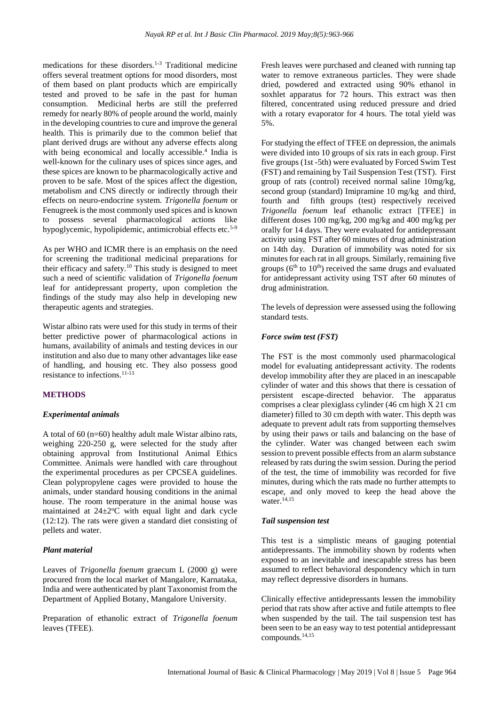medications for these disorders.1-3 Traditional medicine offers several treatment options for mood disorders, most of them based on plant products which are empirically tested and proved to be safe in the past for human consumption. Medicinal herbs are still the preferred remedy for nearly 80% of people around the world, mainly in the developing countries to cure and improve the general health. This is primarily due to the common belief that plant derived drugs are without any adverse effects along with being economical and locally accessible.<sup>4</sup> India is well-known for the culinary uses of spices since ages, and these spices are known to be pharmacologically active and proven to be safe. Most of the spices affect the digestion, metabolism and CNS directly or indirectly through their effects on neuro-endocrine system. *Trigonella foenum* or Fenugreek is the most commonly used spices and is known to possess several pharmacological actions like hypoglycemic, hypolipidemic, antimicrobial effects etc.<sup>5-9</sup>

As per WHO and ICMR there is an emphasis on the need for screening the traditional medicinal preparations for their efficacy and safety.<sup>10</sup> This study is designed to meet such a need of scientific validation of *Trigonella foenum* leaf for antidepressant property, upon completion the findings of the study may also help in developing new therapeutic agents and strategies.

Wistar albino rats were used for this study in terms of their better predictive power of pharmacological actions in humans, availability of animals and testing devices in our institution and also due to many other advantages like ease of handling, and housing etc. They also possess good resistance to infections.11-13

## **METHODS**

#### *Experimental animals*

A total of 60 (n=60) healthy adult male Wistar albino rats, weighing 220-250 g, were selected for the study after obtaining approval from Institutional Animal Ethics Committee. Animals were handled with care throughout the experimental procedures as per CPCSEA guidelines. Clean polypropylene cages were provided to house the animals, under standard housing conditions in the animal house. The room temperature in the animal house was maintained at  $24\pm2$ <sup>o</sup>C with equal light and dark cycle (12:12). The rats were given a standard diet consisting of pellets and water.

## *Plant material*

Leaves of *Trigonella foenum* graecum L (2000 g) were procured from the local market of Mangalore, Karnataka, India and were authenticated by plant Taxonomist from the Department of Applied Botany, Mangalore University.

Preparation of ethanolic extract of *Trigonella foenum* leaves (TFEE).

Fresh leaves were purchased and cleaned with running tap water to remove extraneous particles. They were shade dried, powdered and extracted using 90% ethanol in soxhlet apparatus for 72 hours. This extract was then filtered, concentrated using reduced pressure and dried with a rotary evaporator for 4 hours. The total yield was 5%.

For studying the effect of TFEE on depression, the animals were divided into 10 groups of six rats in each group. First five groups (1st -5th) were evaluated by Forced Swim Test (FST) and remaining by Tail Suspension Test (TST). First group of rats (control) received normal saline 10mg/kg, second group (standard) Imipramine 10 mg/kg and third, fourth and fifth groups (test) respectively received *Trigonella foenum* leaf ethanolic extract [TFEE] in different doses 100 mg/kg, 200 mg/kg and 400 mg/kg per orally for 14 days. They were evaluated for antidepressant activity using FST after 60 minutes of drug administration on 14th day. Duration of immobility was noted for six minutes for each rat in all groups. Similarly, remaining five groups  $(6<sup>th</sup>$  to  $10<sup>th</sup>$ ) received the same drugs and evaluated for antidepressant activity using TST after 60 minutes of drug administration.

The levels of depression were assessed using the following standard tests.

## *Force swim test (FST)*

The FST is the most commonly used pharmacological model for evaluating antidepressant activity. The rodents develop immobility after they are placed in an inescapable cylinder of water and this shows that there is cessation of persistent escape-directed behavior. The apparatus comprises a clear plexiglass cylinder (46 cm high X 21 cm diameter) filled to 30 cm depth with water. This depth was adequate to prevent adult rats from supporting themselves by using their paws or tails and balancing on the base of the cylinder. Water was changed between each swim session to prevent possible effects from an alarm substance released by rats during the swim session. During the period of the test, the time of immobility was recorded for five minutes, during which the rats made no further attempts to escape, and only moved to keep the head above the water.<sup>14,15</sup>

#### *Tail suspension test*

This test is a simplistic means of gauging potential antidepressants. The immobility shown by rodents when exposed to an inevitable and inescapable stress has been assumed to reflect behavioral despondency which in turn may reflect depressive disorders in humans.

Clinically effective antidepressants lessen the immobility period that rats show after active and futile attempts to flee when suspended by the tail. The tail suspension test has been seen to be an easy way to test potential antidepressant compounds.14,15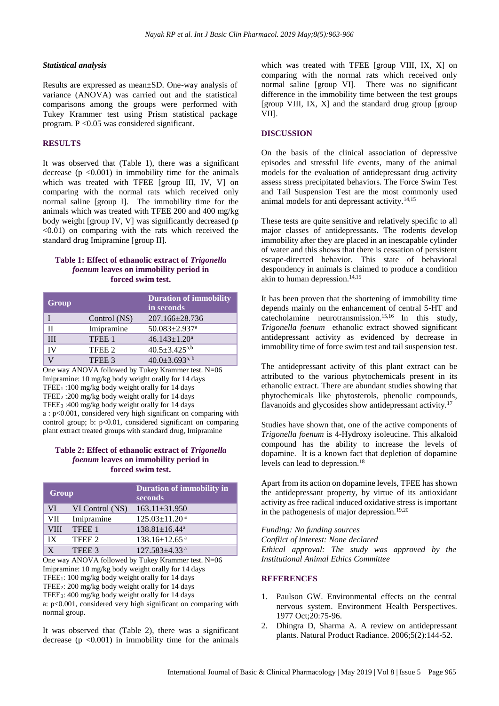#### *Statistical analysis*

Results are expressed as mean±SD. One-way analysis of variance (ANOVA) was carried out and the statistical comparisons among the groups were performed with Tukey Krammer test using Prism statistical package program. P <0.05 was considered significant.

### **RESULTS**

It was observed that (Table 1), there was a significant decrease  $(p \le 0.001)$  in immobility time for the animals which was treated with TFEE [group III, IV, V] on comparing with the normal rats which received only normal saline [group I]. The immobility time for the animals which was treated with TFEE 200 and 400 mg/kg body weight [group IV, V] was significantly decreased (p <0.01) on comparing with the rats which received the standard drug Imipramine [group II].

### **Table 1: Effect of ethanolic extract of** *Trigonella foenum* **leaves on immobility period in forced swim test.**

| Group |              | <b>Duration of immobility</b><br>in seconds |
|-------|--------------|---------------------------------------------|
|       | Control (NS) | 207.166±28.736                              |
| Н     | Imipramine   | $50.083 \pm 2.937$ <sup>a</sup>             |
| Ш     | TFEE 1       | $46.143 \pm 1.20^a$                         |
| IV    | TFEE 2       | $40.5 \pm 3.425^{a,b}$                      |
|       | TFEE 3       | 40.0 $\pm$ 3.693 <sup>a, b</sup>            |

One way ANOVA followed by Tukey Krammer test. N=06 Imipramine: 10 mg/kg body weight orally for 14 days TFEE<sup>1</sup> :100 mg/kg body weight orally for 14 days TFEE<sup>2</sup> :200 mg/kg body weight orally for 14 days TFEE<sup>3</sup> :400 mg/kg body weight orally for 14 days a : p<0.001, considered very high significant on comparing with control group; b: p<0.01, considered significant on comparing plant extract treated groups with standard drug, Imipramine

#### **Table 2: Effect of ethanolic extract of** *Trigonella foenum* **leaves on immobility period in forced swim test.**

| Group       |                 | Duration of immobility in<br>seconds |
|-------------|-----------------|--------------------------------------|
| VI          | VI Control (NS) | $163.11 \pm 31.950$                  |
| <b>VII</b>  | Imipramine      | $125.03 \pm 11.20$ <sup>a</sup>      |
| <b>VIII</b> | TFEE 1          | $138.81 \pm 16.44^a$                 |
| IX          | TFEE 2          | $138.16 \pm 12.65$ <sup>a</sup>      |
| v           | TFEE 3          | $127.583 \pm 4.33$ <sup>a</sup>      |

One way ANOVA followed by Tukey Krammer test. N=06 Imipramine: 10 mg/kg body weight orally for 14 days TFEE1: 100 mg/kg body weight orally for 14 days TFEE2: 200 mg/kg body weight orally for 14 days TFEE3: 400 mg/kg body weight orally for 14 days a: p<0.001, considered very high significant on comparing with

normal group.

It was observed that (Table 2), there was a significant decrease ( $p \leq 0.001$ ) in immobility time for the animals

which was treated with TFEE [group VIII, IX, X] on comparing with the normal rats which received only normal saline [group VI]. There was no significant difference in the immobility time between the test groups [group VIII, IX, X] and the standard drug group [group VII].

#### **DISCUSSION**

On the basis of the clinical association of depressive episodes and stressful life events, many of the animal models for the evaluation of antidepressant drug activity assess stress precipitated behaviors. The Force Swim Test and Tail Suspension Test are the most commonly used animal models for anti depressant activity.<sup>14,15</sup>

These tests are quite sensitive and relatively specific to all major classes of antidepressants. The rodents develop immobility after they are placed in an inescapable cylinder of water and this shows that there is cessation of persistent escape-directed behavior. This state of behavioral despondency in animals is claimed to produce a condition akin to human depression.<sup>14,15</sup>

It has been proven that the shortening of immobility time depends mainly on the enhancement of central 5-HT and catecholamine neurotransmission.15,16 In this study, *Trigonella foenum* ethanolic extract showed significant antidepressant activity as evidenced by decrease in immobility time of force swim test and tail suspension test.

The antidepressant activity of this plant extract can be attributed to the various phytochemicals present in its ethanolic extract. There are abundant studies showing that phytochemicals like phytosterols, phenolic compounds, flavanoids and glycosides show antidepressant activity.<sup>17</sup>

Studies have shown that, one of the active components of *Trigonella foenum* is 4-Hydroxy isoleucine. This alkaloid compound has the ability to increase the levels of dopamine. It is a known fact that depletion of dopamine levels can lead to depression.<sup>18</sup>

Apart from its action on dopamine levels, TFEE has shown the antidepressant property, by virtue of its antioxidant activity as free radical induced oxidative stress is important in the pathogenesis of major depression.<sup>19,20</sup>

*Funding: No funding sources*

*Conflict of interest: None declared Ethical approval: The study was approved by the*

*Institutional Animal Ethics Committee*

## **REFERENCES**

- 1. Paulson GW. Environmental effects on the central nervous system. Environment Health Perspectives. 1977 Oct;20:75-96.
- 2. Dhingra D, Sharma A. A review on antidepressant plants. Natural Product Radiance. 2006;5(2):144-52.